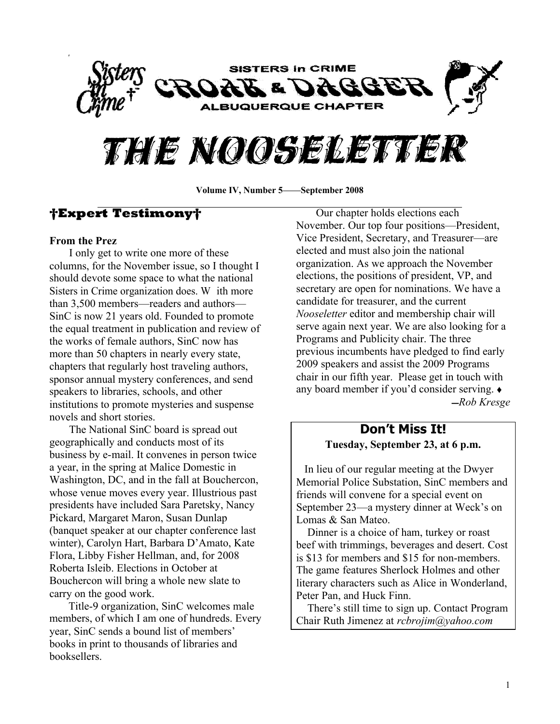

# THE NOOSELETTER

Volume IV, Number 5**—**September 2008

### **Expert Testimony**

#### **From the Prez**

I only get to write one more of these columns, for the November issue, so I thought I should devote some space to what the national Sisters in Crime organization does. W ith more than 3,500 members—readers and authors— SinC is now 21 years old. Founded to promote the equal treatment in publication and review of the works of female authors, SinC now has more than 50 chapters in nearly every state, chapters that regularly host traveling authors, sponsor annual mystery conferences, and send speakers to libraries, schools, and other institutions to promote mysteries and suspense novels and short stories.

The National SinC board is spread out geographically and conducts most of its business by e-mail. It convenes in person twice a year, in the spring at Malice Domestic in Washington, DC, and in the fall at Bouchercon, whose venue moves every year. Illustrious past presidents have included Sara Paretsky, Nancy Pickard, Margaret Maron, Susan Dunlap (banquet speaker at our chapter conference last winter), Carolyn Hart, Barbara D'Amato, Kate Flora, Libby Fisher Hellman, and, for 2008 Roberta Isleib. Elections in October at Bouchercon will bring a whole new slate to carry on the good work.

 Title-9 organization, SinC welcomes male members, of which I am one of hundreds. Every year, SinC sends a bound list of members' books in print to thousands of libraries and booksellers.

Our chapter holds elections each November. Our top four positions—President, Vice President, Secretary, and Treasurer—are elected and must also join the national organization. As we approach the November elections, the positions of president, VP, and secretary are open for nominations. We have a candidate for treasurer, and the current *Nooseletter* editor and membership chair will serve again next year. We are also looking for a Programs and Publicity chair. The three previous incumbents have pledged to find early 2009 speakers and assist the 2009 Programs chair in our fifth year. Please get in touch with any board member if you'd consider serving.  $\triangleleft$ ̛*Rob Kresge*

#### **Don¶t Miss It! Tuesday, September 23, at 6 p.m.**

 In lieu of our regular meeting at the Dwyer Memorial Police Substation, SinC members and friends will convene for a special event on September 23—a mystery dinner at Weck's on Lomas & San Mateo.

 Dinner is a choice of ham, turkey or roast beef with trimmings, beverages and desert. Cost is \$13 for members and \$15 for non-members. The game features Sherlock Holmes and other literary characters such as Alice in Wonderland, Peter Pan, and Huck Finn.

There's still time to sign up. Contact Program Chair Ruth Jimenez at *rcbrojim@yahoo.com*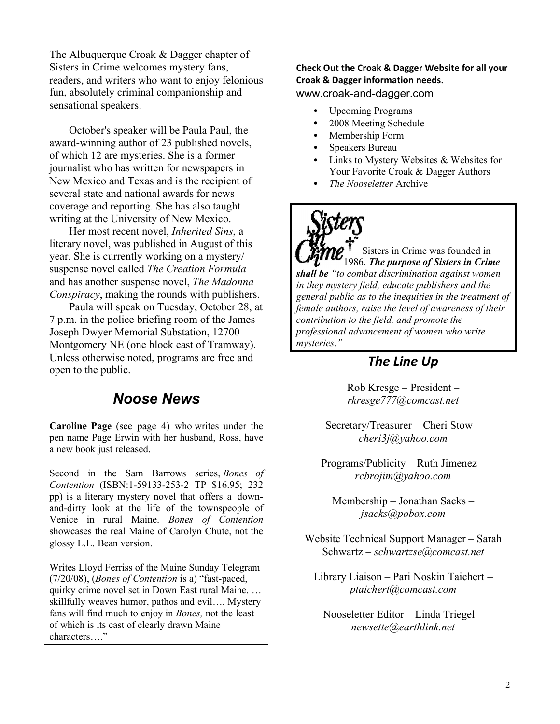The Albuquerque Croak & Dagger chapter of Sisters in Crime welcomes mystery fans, readers, and writers who want to enjoy felonious fun, absolutely criminal companionship and sensational speakers.

October's speaker will be Paula Paul, the award-winning author of 23 published novels, of which 12 are mysteries. She is a former journalist who has written for newspapers in New Mexico and Texas and is the recipient of several state and national awards for news coverage and reporting. She has also taught writing at the University of New Mexico.

Her most recent novel, *Inherited Sins*, a literary novel, was published in August of this year. She is currently working on a mystery/ suspense novel called *The Creation Formula* and has another suspense novel, *The Madonna Conspiracy*, making the rounds with publishers.

Paula will speak on Tuesday, October 28, at 7 p.m. in the police briefing room of the James Joseph Dwyer Memorial Substation, 12700 Montgomery NE (one block east of Tramway). Unless otherwise noted, programs are free and open to the public.

### *Noose News*

**Caroline Page** (see page 4) who writes under the pen name Page Erwin with her husband, Ross, have a new book just released.

Second in the Sam Barrows series, *Bones of Contention* (ISBN:1-59133-253-2 TP \$16.95; 232 pp) is a literary mystery novel that offers a downand-dirty look at the life of the townspeople of Venice in rural Maine. *Bones of Contention* showcases the real Maine of Carolyn Chute, not the glossy L.L. Bean version.

Writes Lloyd Ferriss of the Maine Sunday Telegram (7/20/08), (*Bones of Contention* is a) "fast-paced, quirky crime novel set in Down East rural Maine. ... skillfully weaves humor, pathos and evil.... Mystery fans will find much to enjoy in *Bones,* not the least of which is its cast of clearly drawn Maine characters...."

**Check Out the Croak & Dagger Website for all your Croak & Dagger information needs.** www.croak-and-dagger.com

- Upcoming Programs
- 2008 Meeting Schedule
- Membership Form
- Speakers Bureau
- Links to Mystery Websites & Websites for Your Favorite Croak & Dagger Authors
- *The Nooseletter* Archive

Sisters in Crime was founded in 1986. *The purpose of Sisters in Crime shall be ³to combat discrimination against women in they mystery field, educate publishers and the general public as to the inequities in the treatment of female authors, raise the level of awareness of their contribution to the field, and promote the professional advancement of women who write mysteries.´*

## *The Line Up*

 $Rob$  Kresge  $-$  President  $$ *rkresge777@comcast.net*

Secretary/Treasurer  $-$  Cheri Stow  $$ *cheri3j@yahoo.com*

 $Programs/Publicity - Ruth Jimenez$ *rcbrojim@yahoo.com*

 $M$ embership  $-$  Jonathan Sacks  $$ *jsacks@pobox.com*

Website Technical Support Manager – Sarah Schwartz ± *schwartzse@comcast.net*

Library Liaison – Pari Noskin Taichert – *ptaichert@comcast.com*

 $Nooseletter Editor - Linda Triegel$ *newsette@earthlink.net*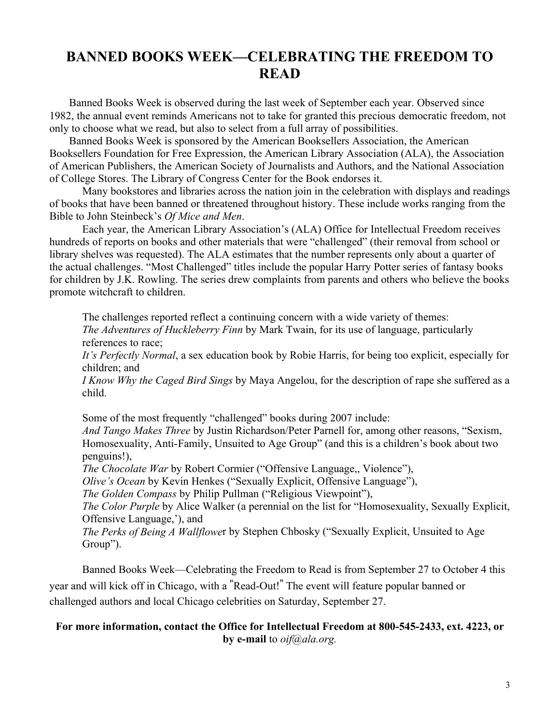# BANNED BOOKS WEEK-CELEBRATING THE FREEDOM TO **READ**

Banned Books Week is observed during the last week of September each year. Observed since 1982, the annual event reminds Americans not to take for granted this precious democratic freedom, not only to choose what we read, but also to select from a full array of possibilities.

Banned Books Week is sponsored by the American Booksellers Association, the American Booksellers Foundation for Free Expression, the American Library Association (ALA), the Association of American Publishers, the American Society of Journalists and Authors, and the National Association of College Stores. The Library of Congress Center for the Book endorses it.

Many bookstores and libraries across the nation join in the celebration with displays and readings of books that have been banned or threatened throughout history. These include works ranging from the Bible to John Steinbeck's *Of Mice and Men*.

Each year, the American Library Association's (ALA) Office for Intellectual Freedom receives hundreds of reports on books and other materials that were "challenged" (their removal from school or library shelves was requested). The ALA estimates that the number represents only about a quarter of the actual challenges. "Most Challenged" titles include the popular Harry Potter series of fantasy books for children by J.K. Rowling. The series drew complaints from parents and others who believe the books promote witchcraft to children.

The challenges reported reflect a continuing concern with a wide variety of themes: *The Adventures of Huckleberry Finn* by Mark Twain, for its use of language, particularly references to race;

*It*'s Perfectly Normal, a sex education book by Robie Harris, for being too explicit, especially for children; and

*I Know Why the Caged Bird Sings* by Maya Angelou, for the description of rape she suffered as a child.

Some of the most frequently "challenged" books during 2007 include:

*And Tango Makes Three* by Justin Richardson/Peter Parnell for, among other reasons, "Sexism, Homosexuality, Anti-Family, Unsuited to Age Group" (and this is a children's book about two penguins!),

*The Chocolate War* by Robert Cormier ("Offensive Language,, Violence"),

*Olive's Ocean* by Kevin Henkes ("Sexually Explicit, Offensive Language"),

*The Golden Compass* by Philip Pullman ("Religious Viewpoint"),

*The Color Purple* by Alice Walker (a perennial on the list for "Homosexuality, Sexually Explicit, Offensive Language,¶), and

*The Perks of Being A Wallflower by Stephen Chbosky ("Sexually Explicit, Unsuited to Age* Group´).

Banned Books Week—Celebrating the Freedom to Read is from September 27 to October 4 this year and will kick off in Chicago, with a "Read-Out!" The event will feature popular banned or challenged authors and local Chicago celebrities on Saturday, September 27.

#### **For more information, contact the Office for Intellectual Freedom at 800-545-2433, ext. 4223, or by e-mail** to *oif@ala.org.*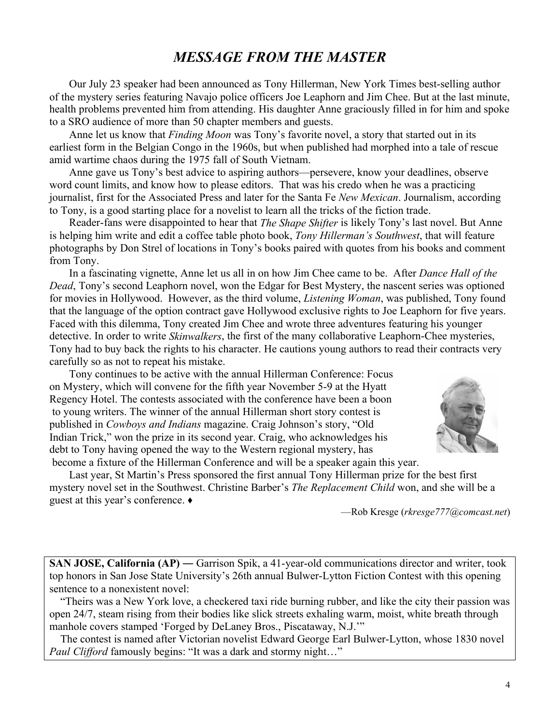# *MESSAGE FROM THE MASTER*

Our July 23 speaker had been announced as Tony Hillerman, New York Times best-selling author of the mystery series featuring Navajo police officers Joe Leaphorn and Jim Chee. But at the last minute, health problems prevented him from attending. His daughter Anne graciously filled in for him and spoke to a SRO audience of more than 50 chapter members and guests.

Anne let us know that *Finding Moon* was Tony's favorite novel, a story that started out in its earliest form in the Belgian Congo in the 1960s, but when published had morphed into a tale of rescue amid wartime chaos during the 1975 fall of South Vietnam.

Anne gave us Tony's best advice to aspiring authors—persevere, know your deadlines, observe word count limits, and know how to please editors. That was his credo when he was a practicing journalist, first for the Associated Press and later for the Santa Fe *New Mexican*. Journalism, according to Tony, is a good starting place for a novelist to learn all the tricks of the fiction trade.

Reader-fans were disappointed to hear that *The Shape Shifter* is likely Tony's last novel. But Anne is helping him write and edit a coffee table photo book, *Tony Hillerman¶s Southwest*, that will feature photographs by Don Strel of locations in Tony's books paired with quotes from his books and comment from Tony.

In a fascinating vignette, Anne let us all in on how Jim Chee came to be. After *Dance Hall of the Dead*, Tony's second Leaphorn novel, won the Edgar for Best Mystery, the nascent series was optioned for movies in Hollywood. However, as the third volume, *Listening Woman*, was published, Tony found that the language of the option contract gave Hollywood exclusive rights to Joe Leaphorn for five years. Faced with this dilemma, Tony created Jim Chee and wrote three adventures featuring his younger detective. In order to write *Skinwalkers*, the first of the many collaborative Leaphorn-Chee mysteries, Tony had to buy back the rights to his character. He cautions young authors to read their contracts very carefully so as not to repeat his mistake.

Tony continues to be active with the annual Hillerman Conference: Focus on Mystery, which will convene for the fifth year November 5-9 at the Hyatt Regency Hotel. The contests associated with the conference have been a boon to young writers. The winner of the annual Hillerman short story contest is published in *Cowboys and Indians* magazine. Craig Johnson's story, "Old Indian Trick," won the prize in its second year. Craig, who acknowledges his debt to Tony having opened the way to the Western regional mystery, has become a fixture of the Hillerman Conference and will be a speaker again this year.



Last year, St Martin's Press sponsored the first annual Tony Hillerman prize for the best first mystery novel set in the Southwest. Christine Barber's *The Replacement Child* won, and she will be a guest at this year's conference.  $\bullet$ 

²Rob Kresge (*rkresge777@comcast.net*)

**SAN JOSE, California (AP)** — Garrison Spik, a 41-year-old communications director and writer, took top honors in San Jose State University's 26th annual Bulwer-Lytton Fiction Contest with this opening sentence to a nonexistent novel:

 ³Theirs was a New York love, a checkered taxi ride burning rubber, and like the city their passion was open 24/7, steam rising from their bodies like slick streets exhaling warm, moist, white breath through manhole covers stamped 'Forged by DeLaney Bros., Piscataway, N.J."

 The contest is named after Victorian novelist Edward George Earl Bulwer-Lytton, whose 1830 novel *Paul Clifford* famously begins: "It was a dark and stormy night..."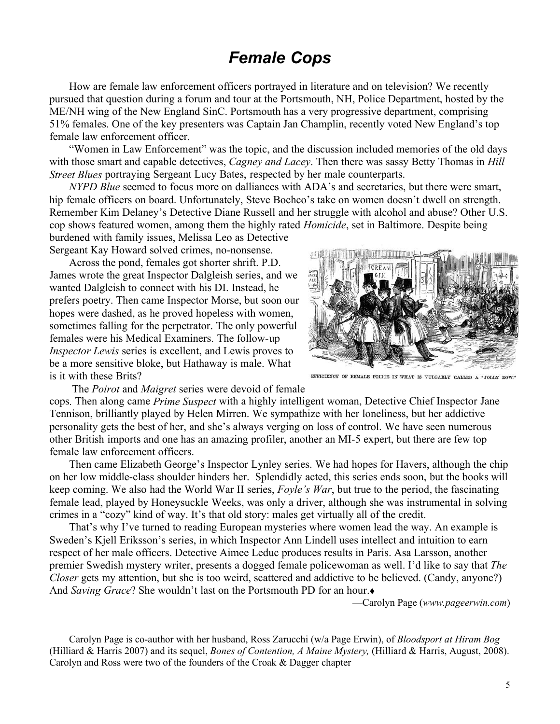# *Female Cops*

How are female law enforcement officers portrayed in literature and on television? We recently pursued that question during a forum and tour at the Portsmouth, NH, Police Department, hosted by the ME/NH wing of the New England SinC. Portsmouth has a very progressive department, comprising 51% females. One of the key presenters was Captain Jan Champlin, recently voted New England's top female law enforcement officer.

"Women in Law Enforcement" was the topic, and the discussion included memories of the old days with those smart and capable detectives, *Cagney and Lacey*. Then there was sassy Betty Thomas in *Hill Street Blues* portraying Sergeant Lucy Bates, respected by her male counterparts.

*NYPD Blue* seemed to focus more on dalliances with ADA's and secretaries, but there were smart, hip female officers on board. Unfortunately, Steve Bochco's take on women doesn't dwell on strength. Remember Kim Delaney's Detective Diane Russell and her struggle with alcohol and abuse? Other U.S. cop shows featured women, among them the highly rated *Homicide*, set in Baltimore. Despite being burdened with family issues, Melissa Leo as Detective

Sergeant Kay Howard solved crimes, no-nonsense.

Across the pond, females got shorter shrift. P.D. James wrote the great Inspector Dalgleish series, and we wanted Dalgleish to connect with his DI. Instead, he prefers poetry. Then came Inspector Morse, but soon our hopes were dashed, as he proved hopeless with women, sometimes falling for the perpetrator. The only powerful females were his Medical Examiners. The follow-up *Inspector Lewis* series is excellent, and Lewis proves to be a more sensitive bloke, but Hathaway is male. What is it with these Brits?



EFFICIENCY OF FEMALE POLICE IN WHAT IS VULGARLY CALLED A "JOLLY ROW."

The *Poirot* and *Maigret* series were devoid of female

cops*.* Then along came *Prime Suspect* with a highly intelligent woman, Detective Chief Inspector Jane Tennison, brilliantly played by Helen Mirren. We sympathize with her loneliness, but her addictive personality gets the best of her, and she's always verging on loss of control. We have seen numerous other British imports and one has an amazing profiler, another an MI-5 expert, but there are few top female law enforcement officers.

Then came Elizabeth George's Inspector Lynley series. We had hopes for Havers, although the chip on her low middle-class shoulder hinders her. Splendidly acted, this series ends soon, but the books will keep coming. We also had the World War II series, *Foyle*'s *War*, but true to the period, the fascinating female lead, played by Honeysuckle Weeks, was only a driver, although she was instrumental in solving crimes in a "cozy" kind of way. It's that old story: males get virtually all of the credit.

That's why I've turned to reading European mysteries where women lead the way. An example is Sweden's Kjell Eriksson's series, in which Inspector Ann Lindell uses intellect and intuition to earn respect of her male officers. Detective Aimee Leduc produces results in Paris. Asa Larsson, another premier Swedish mystery writer, presents a dogged female policewoman as well. I'd like to say that *The Closer* gets my attention, but she is too weird, scattered and addictive to be believed. (Candy, anyone?) And *Saving Grace*? She wouldn't last on the Portsmouth PD for an hour.

²Carolyn Page (*www.pageerwin.com*)

Carolyn Page is co-author with her husband, Ross Zarucchi (w/a Page Erwin), of *Bloodsport at Hiram Bog*  (Hilliard & Harris 2007) and its sequel, *Bones of Contention, A Maine Mystery,* (Hilliard & Harris, August, 2008). Carolyn and Ross were two of the founders of the Croak & Dagger chapter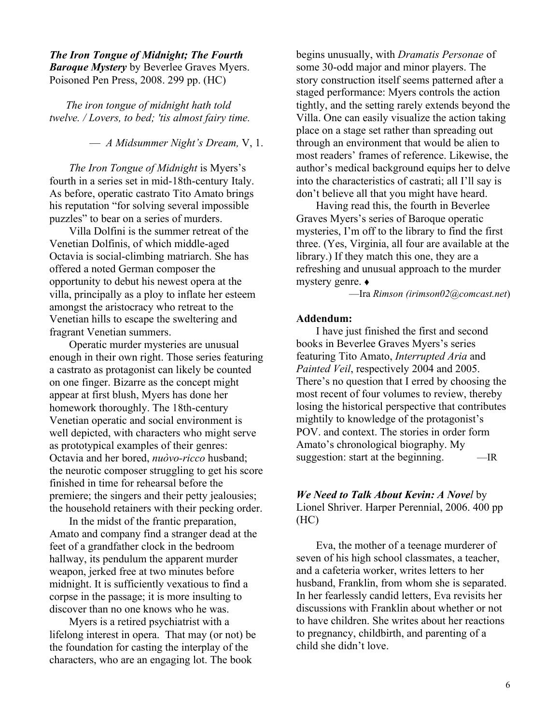#### *The Iron Tongue of Midnight; The Fourth Baroque Mystery* by Beverlee Graves Myers. Poisoned Pen Press, 2008. 299 pp. (HC)

*The iron tongue of midnight hath told twelve. / Lovers, to bed; 'tis almost fairy time.*

² *A Midsummer Night¶s Dream,* V, 1.

*The Iron Tongue of Midnight* is Myers's fourth in a series set in mid-18th-century Italy. As before, operatic castrato Tito Amato brings his reputation "for solving several impossible puzzles" to bear on a series of murders.

Villa Dolfini is the summer retreat of the Venetian Dolfinis, of which middle-aged Octavia is social-climbing matriarch. She has offered a noted German composer the opportunity to debut his newest opera at the villa, principally as a ploy to inflate her esteem amongst the aristocracy who retreat to the Venetian hills to escape the sweltering and fragrant Venetian summers.

Operatic murder mysteries are unusual enough in their own right. Those series featuring a castrato as protagonist can likely be counted on one finger. Bizarre as the concept might appear at first blush, Myers has done her homework thoroughly. The 18th-century Venetian operatic and social environment is well depicted, with characters who might serve as prototypical examples of their genres: Octavia and her bored, *nuòvo-ricco* husband; the neurotic composer struggling to get his score finished in time for rehearsal before the premiere; the singers and their petty jealousies; the household retainers with their pecking order.

In the midst of the frantic preparation, Amato and company find a stranger dead at the feet of a grandfather clock in the bedroom hallway, its pendulum the apparent murder weapon, jerked free at two minutes before midnight. It is sufficiently vexatious to find a corpse in the passage; it is more insulting to discover than no one knows who he was.

Myers is a retired psychiatrist with a lifelong interest in opera. That may (or not) be the foundation for casting the interplay of the characters, who are an engaging lot. The book

begins unusually, with *Dramatis Personae* of some 30-odd major and minor players. The story construction itself seems patterned after a staged performance: Myers controls the action tightly, and the setting rarely extends beyond the Villa. One can easily visualize the action taking place on a stage set rather than spreading out through an environment that would be alien to most readers' frames of reference. Likewise, the author's medical background equips her to delve into the characteristics of castrati; all I'll say is don't believe all that you might have heard.

Having read this, the fourth in Beverlee Graves Myers's series of Baroque operatic mysteries, I'm off to the library to find the first three. (Yes, Virginia, all four are available at the library.) If they match this one, they are a refreshing and unusual approach to the murder mystery genre. Ƈ

²Ira *Rimson (irimson02@comcast.net*)

#### **Addendum:**

I have just finished the first and second books in Beverlee Graves Myers's series featuring Tito Amato, *Interrupted Aria* and *Painted Veil*, respectively 2004 and 2005. There's no question that I erred by choosing the most recent of four volumes to review, thereby losing the historical perspective that contributes mightily to knowledge of the protagonist's POV. and context. The stories in order form Amato's chronological biography. My suggestion: start at the beginning.  $\qquad$  —IR

*We Need to Talk About Kevin: A Novel* by Lionel Shriver. Harper Perennial, 2006. 400 pp (HC)

Eva, the mother of a teenage murderer of seven of his high school classmates, a teacher, and a cafeteria worker, writes letters to her husband, Franklin, from whom she is separated. In her fearlessly candid letters, Eva revisits her discussions with Franklin about whether or not to have children. She writes about her reactions to pregnancy, childbirth, and parenting of a child she didn't love.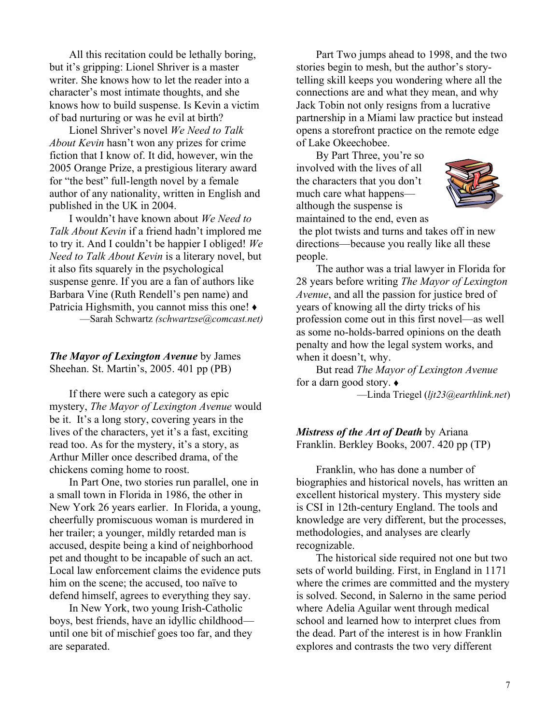All this recitation could be lethally boring, but it's gripping: Lionel Shriver is a master writer. She knows how to let the reader into a character's most intimate thoughts, and she knows how to build suspense. Is Kevin a victim of bad nurturing or was he evil at birth?

Lionel Shriver's novel *We Need to Talk About Kevin* hasn't won any prizes for crime fiction that I know of. It did, however, win the 2005 Orange Prize, a prestigious literary award for "the best" full-length novel by a female author of any nationality, written in English and published in the UK in 2004.

I wouldn't have known about *We Need to Talk About Kevin* if a friend hadn't implored me to try it. And I couldn't be happier I obliged! We *Need to Talk About Kevin* is a literary novel, but it also fits squarely in the psychological suspense genre. If you are a fan of authors like Barbara Vine (Ruth Rendell's pen name) and Patricia Highsmith, you cannot miss this one!  $\triangle$ ²Sarah Schwartz *(schwartzse@comcast.net)*

*The Mayor of Lexington Avenue* by James Sheehan. St. Martin's, 2005. 401 pp (PB)

If there were such a category as epic mystery, *The Mayor of Lexington Avenue* would be it. It's a long story, covering years in the lives of the characters, yet it's a fast, exciting read too. As for the mystery, it's a story, as Arthur Miller once described drama, of the chickens coming home to roost.

In Part One, two stories run parallel, one in a small town in Florida in 1986, the other in New York 26 years earlier. In Florida, a young, cheerfully promiscuous woman is murdered in her trailer; a younger, mildly retarded man is accused, despite being a kind of neighborhood pet and thought to be incapable of such an act. Local law enforcement claims the evidence puts him on the scene; the accused, too naïve to defend himself, agrees to everything they say.

In New York, two young Irish-Catholic boys, best friends, have an idyllic childhood until one bit of mischief goes too far, and they are separated.

Part Two jumps ahead to 1998, and the two stories begin to mesh, but the author's storytelling skill keeps you wondering where all the connections are and what they mean, and why Jack Tobin not only resigns from a lucrative partnership in a Miami law practice but instead opens a storefront practice on the remote edge of Lake Okeechobee.

By Part Three, you're so involved with the lives of all the characters that you don't much care what happens although the suspense is maintained to the end, even as



 the plot twists and turns and takes off in new directions—because you really like all these people.

The author was a trial lawyer in Florida for 28 years before writing *The Mayor of Lexington Avenue*, and all the passion for justice bred of years of knowing all the dirty tricks of his profession come out in this first novel—as well as some no-holds-barred opinions on the death penalty and how the legal system works, and when it doesn't, why.

But read *The Mayor of Lexington Avenue* for a darn good story.  $\triangleleft$ 

²Linda Triegel (*ljt23@earthlink.net*)

*Mistress of the Art of Death* by Ariana Franklin. Berkley Books, 2007. 420 pp (TP)

Franklin, who has done a number of biographies and historical novels, has written an excellent historical mystery. This mystery side is CSI in 12th-century England. The tools and knowledge are very different, but the processes, methodologies, and analyses are clearly recognizable.

The historical side required not one but two sets of world building. First, in England in 1171 where the crimes are committed and the mystery is solved. Second, in Salerno in the same period where Adelia Aguilar went through medical school and learned how to interpret clues from the dead. Part of the interest is in how Franklin explores and contrasts the two very different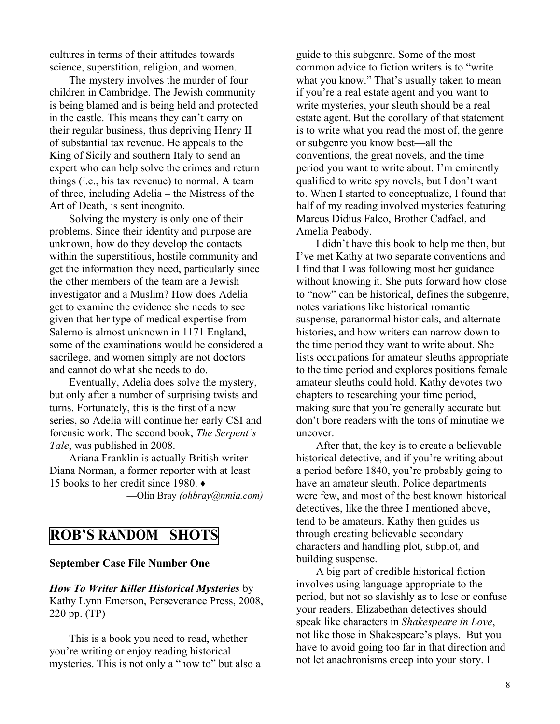cultures in terms of their attitudes towards science, superstition, religion, and women.

The mystery involves the murder of four children in Cambridge. The Jewish community is being blamed and is being held and protected in the castle. This means they can't carry on their regular business, thus depriving Henry II of substantial tax revenue. He appeals to the King of Sicily and southern Italy to send an expert who can help solve the crimes and return things (i.e., his tax revenue) to normal. A team of three, including  $A$ delia  $-$  the Mistress of the Art of Death, is sent incognito.

Solving the mystery is only one of their problems. Since their identity and purpose are unknown, how do they develop the contacts within the superstitious, hostile community and get the information they need, particularly since the other members of the team are a Jewish investigator and a Muslim? How does Adelia get to examine the evidence she needs to see given that her type of medical expertise from Salerno is almost unknown in 1171 England, some of the examinations would be considered a sacrilege, and women simply are not doctors and cannot do what she needs to do.

Eventually, Adelia does solve the mystery, but only after a number of surprising twists and turns. Fortunately, this is the first of a new series, so Adelia will continue her early CSI and forensic work. The second book, *The Serpent's Tale*, was published in 2008.

Ariana Franklin is actually British writer Diana Norman, a former reporter with at least 15 books to her credit since 1980.  $\triangleleft$ 

**²**Olin Bray *(ohbray@nmia.com)*

## **ROB¶S RANDOM SHOTS**

#### **September Case File Number One**

*How To Writer Killer Historical Mysteries* by Kathy Lynn Emerson, Perseverance Press, 2008, 220 pp. (TP)

This is a book you need to read, whether you're writing or enjoy reading historical mysteries. This is not only a "how to" but also a guide to this subgenre. Some of the most common advice to fiction writers is to "write" what you know." That's usually taken to mean if you're a real estate agent and you want to write mysteries, your sleuth should be a real estate agent. But the corollary of that statement is to write what you read the most of, the genre or subgenre you know best—all the conventions, the great novels, and the time period you want to write about. I'm eminently qualified to write spy novels, but I don't want to. When I started to conceptualize, I found that half of my reading involved mysteries featuring Marcus Didius Falco, Brother Cadfael, and Amelia Peabody.

I didn't have this book to help me then, but I've met Kathy at two separate conventions and I find that I was following most her guidance without knowing it. She puts forward how close to "now" can be historical, defines the subgenre, notes variations like historical romantic suspense, paranormal historicals, and alternate histories, and how writers can narrow down to the time period they want to write about. She lists occupations for amateur sleuths appropriate to the time period and explores positions female amateur sleuths could hold. Kathy devotes two chapters to researching your time period, making sure that you're generally accurate but don't bore readers with the tons of minutiae we uncover.

After that, the key is to create a believable historical detective, and if you're writing about a period before 1840, you're probably going to have an amateur sleuth. Police departments were few, and most of the best known historical detectives, like the three I mentioned above, tend to be amateurs. Kathy then guides us through creating believable secondary characters and handling plot, subplot, and building suspense.

A big part of credible historical fiction involves using language appropriate to the period, but not so slavishly as to lose or confuse your readers. Elizabethan detectives should speak like characters in *Shakespeare in Love*, not like those in Shakespeare's plays. But you have to avoid going too far in that direction and not let anachronisms creep into your story. I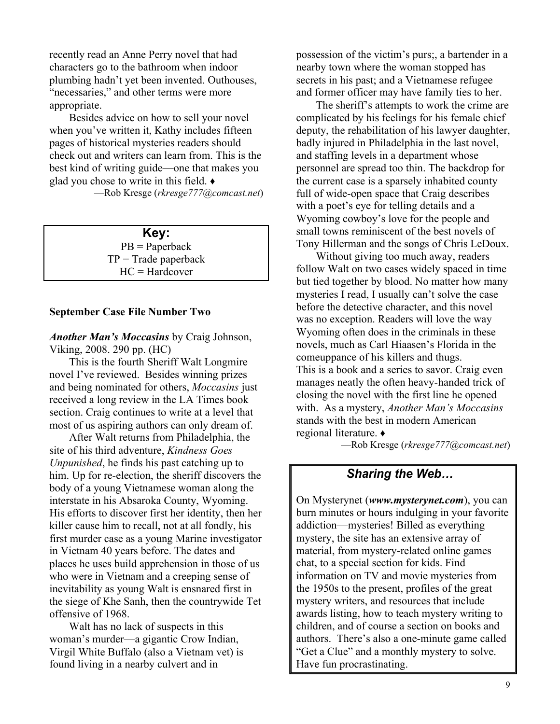recently read an Anne Perry novel that had characters go to the bathroom when indoor plumbing hadn't yet been invented. Outhouses, "necessaries," and other terms were more appropriate.

Besides advice on how to sell your novel when you've written it, Kathy includes fifteen pages of historical mysteries readers should check out and writers can learn from. This is the best kind of writing guide—one that makes you glad you chose to write in this field.  $\bullet$ 

²Rob Kresge (*rkresge777@comcast.net*)

#### **Key:**

PB = Paperback  $TP = Trade paperback$ HC = Hardcover

#### **September Case File Number Two**

*Another Man¶s Moccasins* by Craig Johnson, Viking, 2008. 290 pp. (HC)

This is the fourth Sheriff Walt Longmire novel I've reviewed. Besides winning prizes and being nominated for others, *Moccasins* just received a long review in the LA Times book section. Craig continues to write at a level that most of us aspiring authors can only dream of.

After Walt returns from Philadelphia, the site of his third adventure, *Kindness Goes Unpunished*, he finds his past catching up to him. Up for re-election, the sheriff discovers the body of a young Vietnamese woman along the interstate in his Absaroka County, Wyoming. His efforts to discover first her identity, then her killer cause him to recall, not at all fondly, his first murder case as a young Marine investigator in Vietnam 40 years before. The dates and places he uses build apprehension in those of us who were in Vietnam and a creeping sense of inevitability as young Walt is ensnared first in the siege of Khe Sanh, then the countrywide Tet offensive of 1968.

Walt has no lack of suspects in this woman's murder—a gigantic Crow Indian, Virgil White Buffalo (also a Vietnam vet) is found living in a nearby culvert and in

possession of the victim's purs;, a bartender in a nearby town where the woman stopped has secrets in his past; and a Vietnamese refugee and former officer may have family ties to her.

The sheriff's attempts to work the crime are complicated by his feelings for his female chief deputy, the rehabilitation of his lawyer daughter, badly injured in Philadelphia in the last novel, and staffing levels in a department whose personnel are spread too thin. The backdrop for the current case is a sparsely inhabited county full of wide-open space that Craig describes with a poet's eye for telling details and a Wyoming cowboy's love for the people and small towns reminiscent of the best novels of Tony Hillerman and the songs of Chris LeDoux.

Without giving too much away, readers follow Walt on two cases widely spaced in time but tied together by blood. No matter how many mysteries I read, I usually can't solve the case before the detective character, and this novel was no exception. Readers will love the way Wyoming often does in the criminals in these novels, much as Carl Hiaasen's Florida in the comeuppance of his killers and thugs. This is a book and a series to savor. Craig even manages neatly the often heavy-handed trick of closing the novel with the first line he opened with. As a mystery, *Another Man's Moccasins* stands with the best in modern American regional literature. Ƈ

²Rob Kresge (*rkresge777@comcast.net*)

#### *Sharing the Web...*

On Mysterynet (*www.mysterynet.com*), you can burn minutes or hours indulging in your favorite addiction—mysteries! Billed as everything mystery, the site has an extensive array of material, from mystery-related online games chat, to a special section for kids. Find information on TV and movie mysteries from the 1950s to the present, profiles of the great mystery writers, and resources that include awards listing, how to teach mystery writing to children, and of course a section on books and authors. There's also a one-minute game called "Get a Clue" and a monthly mystery to solve. Have fun procrastinating.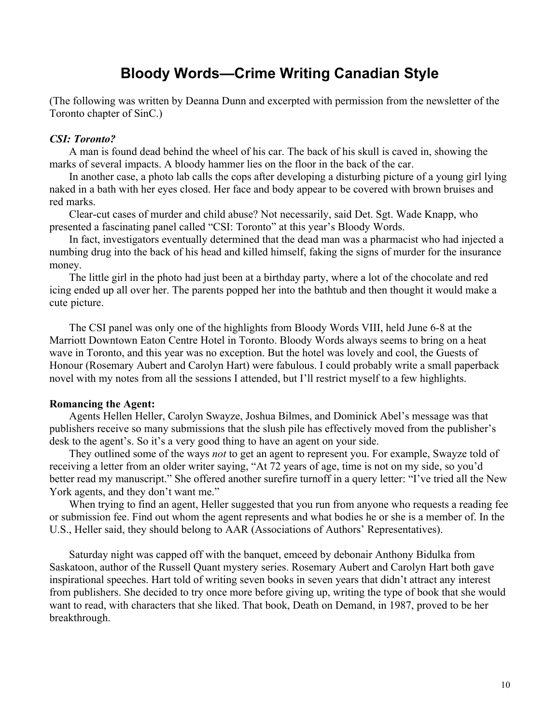# **Bloody Words²Crime Writing Canadian Style**

(The following was written by Deanna Dunn and excerpted with permission from the newsletter of the Toronto chapter of SinC.)

#### *CSI: Toronto?*

A man is found dead behind the wheel of his car. The back of his skull is caved in, showing the marks of several impacts. A bloody hammer lies on the floor in the back of the car.

In another case, a photo lab calls the cops after developing a disturbing picture of a young girl lying naked in a bath with her eyes closed. Her face and body appear to be covered with brown bruises and red marks.

Clear-cut cases of murder and child abuse? Not necessarily, said Det. Sgt. Wade Knapp, who presented a fascinating panel called "CSI: Toronto" at this year's Bloody Words.

In fact, investigators eventually determined that the dead man was a pharmacist who had injected a numbing drug into the back of his head and killed himself, faking the signs of murder for the insurance money.

The little girl in the photo had just been at a birthday party, where a lot of the chocolate and red icing ended up all over her. The parents popped her into the bathtub and then thought it would make a cute picture.

The CSI panel was only one of the highlights from Bloody Words VIII, held June 6-8 at the Marriott Downtown Eaton Centre Hotel in Toronto. Bloody Words always seems to bring on a heat wave in Toronto, and this year was no exception. But the hotel was lovely and cool, the Guests of Honour (Rosemary Aubert and Carolyn Hart) were fabulous. I could probably write a small paperback novel with my notes from all the sessions I attended, but I'll restrict myself to a few highlights.

#### **Romancing the Agent:**

Agents Hellen Heller, Carolyn Swayze, Joshua Bilmes, and Dominick Abel's message was that publishers receive so many submissions that the slush pile has effectively moved from the publisher's desk to the agent's. So it's a very good thing to have an agent on your side.

They outlined some of the ways *not* to get an agent to represent you. For example, Swayze told of receiving a letter from an older writer saying, "At 72 years of age, time is not on my side, so you'd better read my manuscript." She offered another surefire turnoff in a query letter: "I've tried all the New York agents, and they don't want me."

When trying to find an agent, Heller suggested that you run from anyone who requests a reading fee or submission fee. Find out whom the agent represents and what bodies he or she is a member of. In the U.S., Heller said, they should belong to AAR (Associations of Authors' Representatives).

Saturday night was capped off with the banquet, emceed by debonair Anthony Bidulka from Saskatoon, author of the Russell Quant mystery series. Rosemary Aubert and Carolyn Hart both gave inspirational speeches. Hart told of writing seven books in seven years that didn't attract any interest from publishers. She decided to try once more before giving up, writing the type of book that she would want to read, with characters that she liked. That book, Death on Demand, in 1987, proved to be her breakthrough.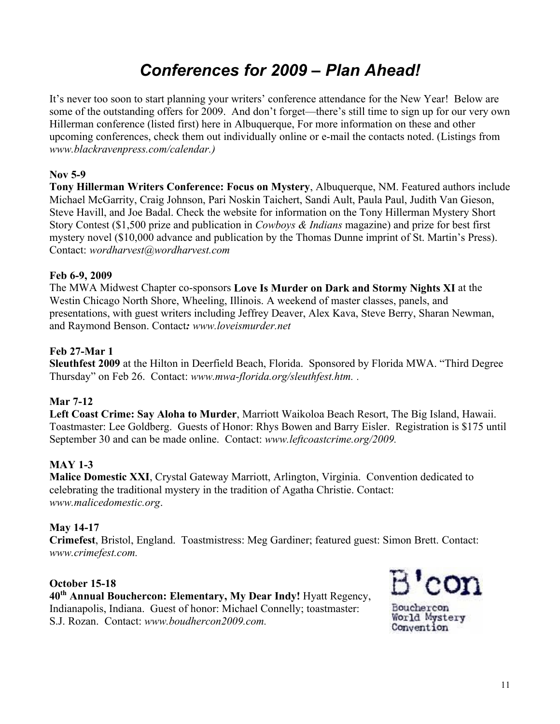# *Conferences for 2009 ± Plan Ahead!*

It's never too soon to start planning your writers' conference attendance for the New Year! Below are some of the outstanding offers for 2009. And don't forget—there's still time to sign up for our very own Hillerman conference (listed first) here in Albuquerque, For more information on these and other upcoming conferences, check them out individually online or e-mail the contacts noted. (Listings from *www.blackravenpress.com/calendar.)*

#### **Nov 5-9**

**Tony Hillerman Writers Conference: Focus on Mystery**, Albuquerque, NM. Featured authors include Michael McGarrity, Craig Johnson, Pari Noskin Taichert, Sandi Ault, Paula Paul, Judith Van Gieson, Steve Havill, and Joe Badal. Check the website for information on the Tony Hillerman Mystery Short Story Contest (\$1,500 prize and publication in *Cowboys & Indians* magazine) and prize for best first mystery novel (\$10,000 advance and publication by the Thomas Dunne imprint of St. Martin's Press). Contact: *wordharvest@wordharvest.com*

#### **Feb 6-9, 2009**

The MWA Midwest Chapter co-sponsors **Love Is Murder on Dark and Stormy Nights XI** at the Westin Chicago North Shore, Wheeling, Illinois. A weekend of master classes, panels, and presentations, with guest writers including Jeffrey Deaver, Alex Kava, Steve Berry, Sharan Newman, and Raymond Benson. Contact*: www.loveismurder.net*

#### **Feb 27-Mar 1**

**Sleuthfest 2009** at the Hilton in Deerfield Beach, Florida. Sponsored by Florida MWA. "Third Degree" Thursday" on Feb 26. Contact: www.mwa-florida.org/sleuthfest.htm...

#### **Mar 7-12**

**Left Coast Crime: Say Aloha to Murder**, Marriott Waikoloa Beach Resort, The Big Island, Hawaii. Toastmaster: Lee Goldberg. Guests of Honor: Rhys Bowen and Barry Eisler. Registration is \$175 until September 30 and can be made online. Contact: *www.leftcoastcrime.org/2009.* 

#### **MAY 1-3**

**Malice Domestic XXI**, Crystal Gateway Marriott, Arlington, Virginia. Convention dedicated to celebrating the traditional mystery in the tradition of Agatha Christie. Contact: *www.malicedomestic.org*.

#### **May 14-17**

**Crimefest**, Bristol, England. Toastmistress: Meg Gardiner; featured guest: Simon Brett. Contact: *www.crimefest.com.*

#### **October 15-18**

**40th Annual Bouchercon: Elementary, My Dear Indy!** Hyatt Regency, Indianapolis, Indiana. Guest of honor: Michael Connelly; toastmaster: S.J. Rozan. Contact: *www.boudhercon2009.com.*



Bouchercon World Mystery Convention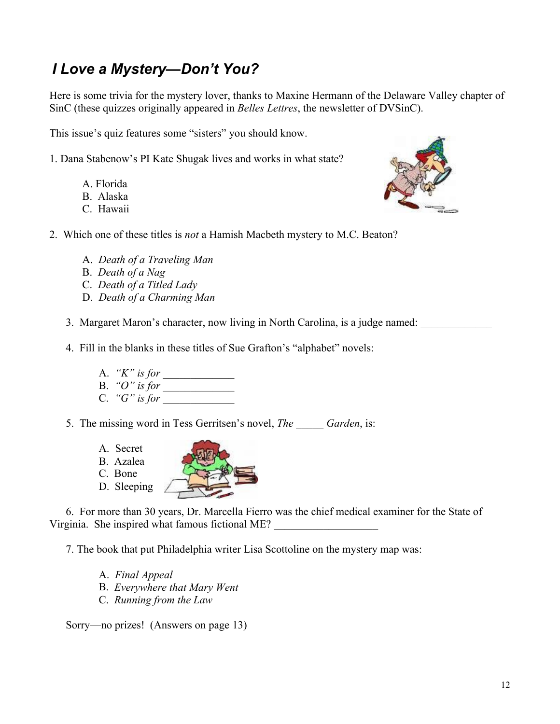# *I Love a Mystery-Don't You?*

Here is some trivia for the mystery lover, thanks to Maxine Hermann of the Delaware Valley chapter of SinC (these quizzes originally appeared in *Belles Lettres*, the newsletter of DVSinC).

This issue's quiz features some "sisters" you should know.

- 1. Dana Stabenow's PI Kate Shugak lives and works in what state?
	- A. Florida B. Alaska
	-
	- C. Hawaii



- 2. Which one of these titles is *not* a Hamish Macbeth mystery to M.C. Beaton?
	- A. *Death of a Traveling Man*
	- B. *Death of a Nag*
	- C. *Death of a Titled Lady*
	- D. *Death of a Charming Man*
	- 3. Margaret Maron's character, now living in North Carolina, is a judge named:
	- 4. Fill in the blanks in these titles of Sue Grafton's "alphabet" novels:
		- A. *³K´ is for \_\_\_\_\_\_\_\_\_\_\_\_\_*
		- B. *³O´ is for \_\_\_\_\_\_\_\_\_\_\_\_\_*
		- C.  $"G"$  is for
	- 5. The missing word in Tess Gerritsen's novel, *The Garden*, is:
		- A. Secret
		- B. Azalea
		- C. Bone
		- D. Sleeping

6. For more than 30 years, Dr. Marcella Fierro was the chief medical examiner for the State of Virginia. She inspired what famous fictional ME?

7. The book that put Philadelphia writer Lisa Scottoline on the mystery map was:

- A. *Final Appeal*
- B. *Everywhere that Mary Went*
- C. *Running from the Law*

Sorry—no prizes! (Answers on page 13)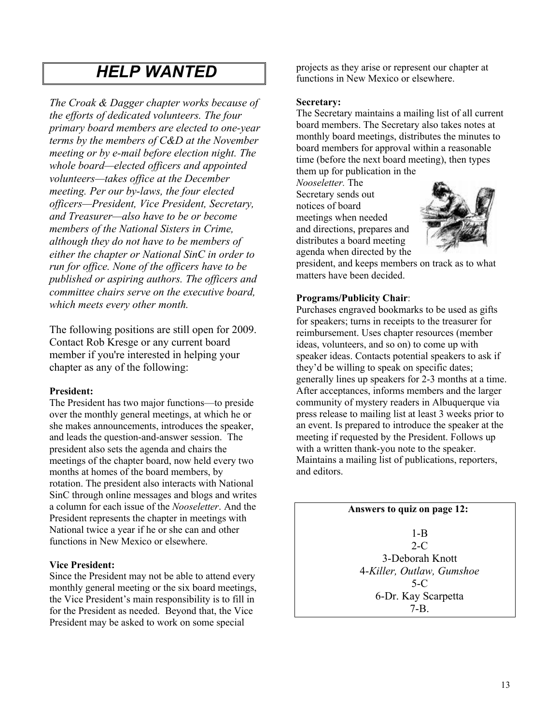# *HELP WANTED*

*The Croak & Dagger chapter works because of the efforts of dedicated volunteers. The four primary board members are elected to one-year terms by the members of C&D at the November meeting or by e-mail before election night. The whole board²elected officers and appointed volunteers²takes office at the December meeting. Per our by-laws, the four elected officers²President, Vice President, Secretary, and Treasurer²also have to be or become members of the National Sisters in Crime, although they do not have to be members of either the chapter or National SinC in order to run for office. None of the officers have to be published or aspiring authors. The officers and committee chairs serve on the executive board, which meets every other month.*

The following positions are still open for 2009. Contact Rob Kresge or any current board member if you're interested in helping your chapter as any of the following:

#### **President:**

The President has two major functions—to preside over the monthly general meetings, at which he or she makes announcements, introduces the speaker, and leads the question-and-answer session. The president also sets the agenda and chairs the meetings of the chapter board, now held every two months at homes of the board members, by rotation. The president also interacts with National SinC through online messages and blogs and writes a column for each issue of the *Nooseletter*. And the President represents the chapter in meetings with National twice a year if he or she can and other functions in New Mexico or elsewhere.

#### **Vice President:**

Since the President may not be able to attend every monthly general meeting or the six board meetings, the Vice President's main responsibility is to fill in for the President as needed. Beyond that, the Vice President may be asked to work on some special

projects as they arise or represent our chapter at functions in New Mexico or elsewhere.

#### **Secretary:**

The Secretary maintains a mailing list of all current board members. The Secretary also takes notes at monthly board meetings, distributes the minutes to board members for approval within a reasonable time (before the next board meeting), then types them up for publication in the

*Nooseletter.* The Secretary sends out notices of board meetings when needed and directions, prepares and distributes a board meeting agenda when directed by the



president, and keeps members on track as to what matters have been decided.

#### **Programs/Publicity Chair**:

Purchases engraved bookmarks to be used as gifts for speakers; turns in receipts to the treasurer for reimbursement. Uses chapter resources (member ideas, volunteers, and so on) to come up with speaker ideas. Contacts potential speakers to ask if they'd be willing to speak on specific dates; generally lines up speakers for 2-3 months at a time. After acceptances, informs members and the larger community of mystery readers in Albuquerque via press release to mailing list at least 3 weeks prior to an event. Is prepared to introduce the speaker at the meeting if requested by the President. Follows up with a written thank-you note to the speaker. Maintains a mailing list of publications, reporters, and editors.

 **Answers to quiz on page 12:**

1-B  $2-C$ 3-Deborah Knott 4-*Killer, Outlaw, Gumshoe* 5-C 6-Dr. Kay Scarpetta 7-B.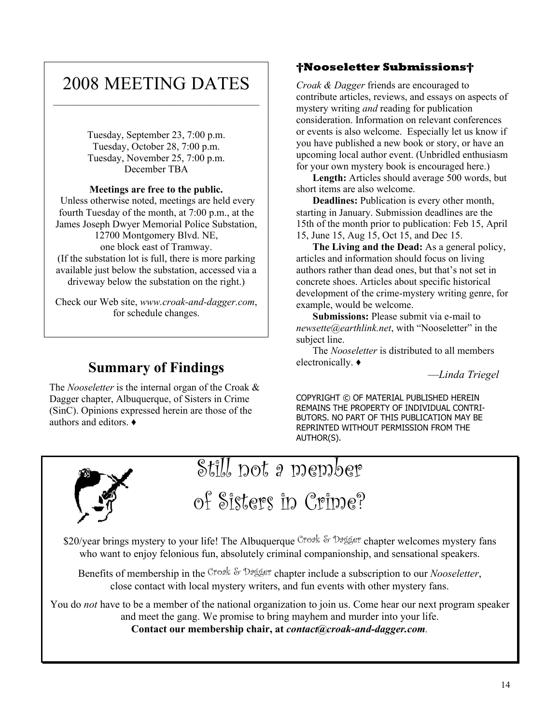# 2008 MEETING DATES  $\mathcal{L}_\text{max}$

Tuesday, September 23, 7:00 p.m. Tuesday, October 28, 7:00 p.m. Tuesday, November 25, 7:00 p.m. December TBA

#### **Meetings are free to the public.**

 Unless otherwise noted, meetings are held every fourth Tuesday of the month, at 7:00 p.m., at the James Joseph Dwyer Memorial Police Substation, 12700 Montgomery Blvd. NE, one block east of Tramway. (If the substation lot is full, there is more parking available just below the substation, accessed via a driveway below the substation on the right.)

Check our Web site, *www.croak-and-dagger.com*, for schedule changes.

### **Summary of Findings**

The *Nooseletter* is the internal organ of the Croak & Dagger chapter, Albuquerque, of Sisters in Crime (SinC). Opinions expressed herein are those of the authors and editors.  $\triangleleft$ 

### **Nooseletter Submissions**

*Croak & Dagger* friends are encouraged to contribute articles, reviews, and essays on aspects of mystery writing *and* reading for publication consideration. Information on relevant conferences or events is also welcome. Especially let us know if you have published a new book or story, or have an upcoming local author event. (Unbridled enthusiasm for your own mystery book is encouraged here.)

**Length:** Articles should average 500 words, but short items are also welcome.

**Deadlines:** Publication is every other month, starting in January. Submission deadlines are the 15th of the month prior to publication: Feb 15, April 15, June 15, Aug 15, Oct 15, and Dec 15.

**The Living and the Dead:** As a general policy, articles and information should focus on living authors rather than dead ones, but that's not set in concrete shoes. Articles about specific historical development of the crime-mystery writing genre, for example, would be welcome.

**Submissions:** Please submit via e-mail to *newsette@earthlink.net*, with "Nooseletter" in the subject line.

The *Nooseletter* is distributed to all members electronically.  $\bullet$ 

²*Linda Triegel*

COPYRIGHT © OF MATERIAL PUBLISHED HEREIN REMAINS THE PROPERTY OF INDIVIDUAL CONTRI-BUTORS. NO PART OF THIS PUBLICATION MAY BE REPRINTED WITHOUT PERMISSION FROM THE AUTHOR(S).



# Still not a member

of Sisters in Crime?

\$20/year brings mystery to your life! The Albuquerque Croak & Dagger chapter welcomes mystery fans who want to enjoy felonious fun, absolutely criminal companionship, and sensational speakers.

Benefits of membership in the Croak & Dagger chapter include a subscription to our *Nooseletter*, close contact with local mystery writers, and fun events with other mystery fans.

You do *not* have to be a member of the national organization to join us. Come hear our next program speaker and meet the gang. We promise to bring mayhem and murder into your life.

**Contact our membership chair, at** *contact@croak-and-dagger.com.*